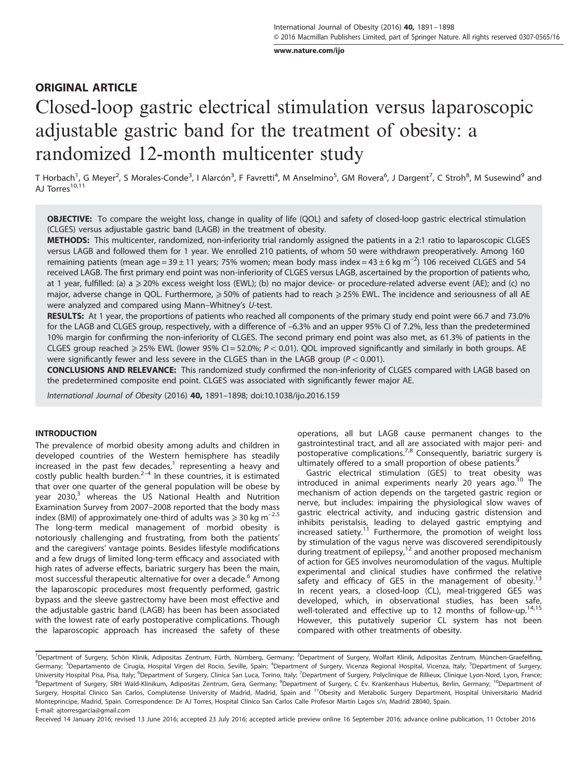[www.nature.com/ijo](http://www.nature.com/ijo)

## ORIGINAL ARTICLE

# Closed-loop gastric electrical stimulation versus laparoscopic adjustable gastric band for the treatment of obesity: a randomized 12-month multicenter study

T Horbach<sup>1</sup>, G Meyer<sup>2</sup>, S Morales-Conde<sup>3</sup>, I Alarcón<sup>3</sup>, F Favretti<sup>4</sup>, M Anselmino<sup>5</sup>, GM Rovera<sup>6</sup>, J Dargent<sup>7</sup>, C Stroh<sup>8</sup>, M Susewind<sup>9</sup> and AJ Torres<sup>10,11</sup>

OBJECTIVE: To compare the weight loss, change in quality of life (QOL) and safety of closed-loop gastric electrical stimulation (CLGES) versus adjustable gastric band (LAGB) in the treatment of obesity.

METHODS: This multicenter, randomized, non-inferiority trial randomly assigned the patients in a 2:1 ratio to laparoscopic CLGES versus LAGB and followed them for 1 year. We enrolled 210 patients, of whom 50 were withdrawn preoperatively. Among 160 remaining patients (mean age = 39 ± 11 years; 75% women; mean body mass index = 43 ± 6 kg m<sup>-2</sup>) 106 received CLGES and 54 received LAGB. The first primary end point was non-inferiority of CLGES versus LAGB, ascertained by the proportion of patients who, at 1 year, fulfilled: (a) a ≥20% excess weight loss (EWL); (b) no major device- or procedure-related adverse event (AE); and (c) no major, adverse change in QOL. Furthermore, ≥ 50% of patients had to reach ≥ 25% EWL. The incidence and seriousness of all AE were analyzed and compared using Mann–Whitney's U-test.

RESULTS: At 1 year, the proportions of patients who reached all components of the primary study end point were 66.7 and 73.0% for the LAGB and CLGES group, respectively, with a difference of –6.3% and an upper 95% CI of 7.2%, less than the predetermined 10% margin for confirming the non-inferiority of CLGES. The second primary end point was also met, as 61.3% of patients in the CLGES group reached  $\geq 25\%$  EWL (lower 95% CI = 52.0%;  $P < 0.01$ ). QOL improved significantly and similarly in both groups. AE were significantly fewer and less severe in the CLGES than in the LAGB group ( $P < 0.001$ ).

CONCLUSIONS AND RELEVANCE: This randomized study confirmed the non-inferiority of CLGES compared with LAGB based on the predetermined composite end point. CLGES was associated with significantly fewer major AE.

International Journal of Obesity (2016) 40, 1891–1898; doi:[10.1038/ijo.2016.159](http://dx.doi.org/10.1038/ijo.2016.159)

#### INTRODUCTION

The prevalence of morbid obesity among adults and children in developed countries of the Western hemisphere has steadily increased in the past few [dec](#page-6-0)ades, $1$  representing a heavy and costly public health burden. $2-4$  In these countries, it is estimated that over one quarter of the general population will be obese by year  $2030$  $2030$  $2030$ ,<sup>3</sup> whereas the US National Health and Nutrition Examination Survey from 2007–2008 reported that the body mass index (BMI) of approximately one-third of adults was  $\geq 30$  kg m<sup>-2.5</sup> The long-term medical management of morbid obesity is notoriously challenging and frustrating, from both the patients' and the caregivers' vantage points. Besides lifestyle modifications and a few drugs of limited long-term efficacy and associated with high rates of adverse effects, bariatric surgery has been the main, most successful therapeutic alternative for over a decade.<sup>[6](#page-6-0)</sup> Among the laparoscopic procedures most frequently performed, gastric bypass and the sleeve gastrectomy have been most effective and the adjustable gastric band (LAGB) has been has been associated with the lowest rate of early postoperative complications. Though the laparoscopic approach has increased the safety of these

operations, all but LAGB cause permanent changes to the gastrointestinal tract, and all are associated with major peri- and postoperative complications.<sup>[7](#page-6-0),[8](#page-6-0)</sup> Consequently, bariatric surgery is ultimately offered to a small proportion of obese patients.<sup>[9](#page-6-0)</sup>

Gastric electrical stimulation (GES) to treat obesity was introduced in animal experiments nearly 20 years ago.<sup>[10](#page-6-0)</sup> The mechanism of action depends on the targeted gastric region or nerve, but includes: impairing the physiological slow waves of gastric electrical activity, and inducing gastric distension and inhibits peristalsis, leading to delayed gastric emptying and increased satiety.<sup>[11](#page-6-0)</sup> Furthermore, the promotion of weight loss by stimulation of the vagus nerve was discovered serendipitously during treatment of epilepsy, $12$  and another proposed mechanism of action for GES involves neuromodulation of the vagus. Multiple experimental and clinical studies have confirmed the relative safety and efficacy of GES in the management of obesity.<sup>[13](#page-6-0)</sup> In recent years, a closed-loop (CL), meal-triggered GES was developed, which, in observational studies, has been safe, well-tolerated and effective up to 12 months of follow-up.<sup>[14,15](#page-6-0)</sup> However, this putatively superior CL system has not been compared with other treatments of obesity.

Received 14 January 2016; revised 13 June 2016; accepted 23 July 2016; accepted article preview online 16 September 2016; advance online publication, 11 October 2016

<sup>&</sup>lt;sup>1</sup>Department of Surgery, Schön Klinik, Adipositas Zentrum, Fürth, Nürnberg, Germany; <sup>2</sup>Department of Surgery, Wolfart Klinik, Adipositas Zentrum, München-Graefelfing, Germany; <sup>3</sup>Departamento de Cirugía, Hospital Virgen del Rocio, Seville, Spain; <sup>4</sup>Department of Surgery, Vicenza Regional Hospital, Vicenza, Italy; <sup>5</sup>Department of Surgery, University Hospital Pisa, Pisa, Italy; <sup>6</sup>Department of Surgery, Clinica San Luca, Torino, Italy; <sup>7</sup>Department of Surgery, Polyclinique de Rillieux, Clinique Lyon-Nord, Lyon, France; <sup>8</sup>Department of Surgery, SRH Wald-Klinikum, Adipositas Zentrum, Gera, Germany; <sup>9</sup>Department of Surgery, C Ev. Krankenhaus Hubertus, Berlin, Germany; <sup>10</sup>Department of Surgery, Hospital Clinico San Carlos, Complutense University of Madrid, Madrid, Spain and 11Obesity and Metabolic Surgery Department, Hospital Universitario Madrid Monteprincipe, Madrid, Spain. Correspondence: Dr AJ Torres, Hospital Clínico San Carlos Calle Profesor Martín Lagos s/n, Madrid 28040, Spain. E-mail: [ajtorresgarcia@gmail.com](mailto:ajtorresgarcia@gmail.com)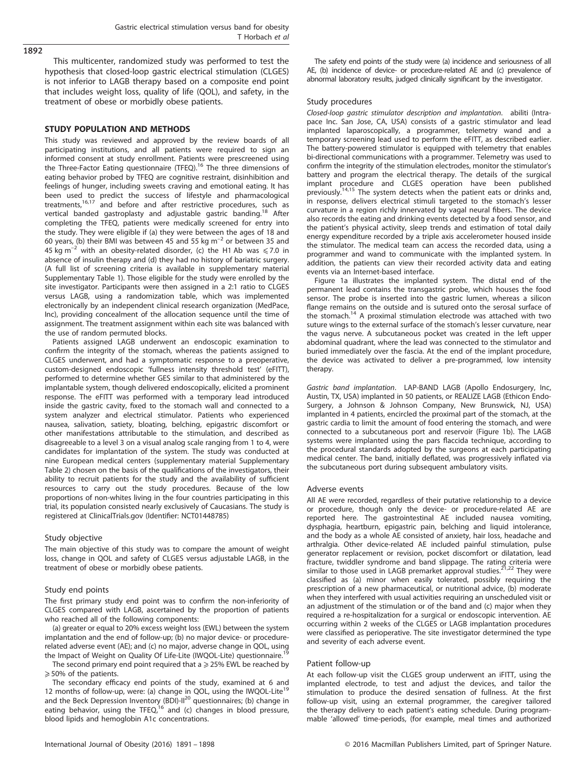## 1892

This multicenter, randomized study was performed to test the hypothesis that closed-loop gastric electrical stimulation (CLGES) is not inferior to LAGB therapy based on a composite end point that includes weight loss, quality of life (QOL), and safety, in the treatment of obese or morbidly obese patients.

#### STUDY POPULATION AND METHODS

This study was reviewed and approved by the review boards of all participating institutions, and all patients were required to sign an informed consent at study enrollment. Patients were prescreened using the Three-Factor Eating questionnaire (TFEQ).<sup>16</sup> The three dimensions of eating behavior probed by TFEQ are cognitive restraint, disinhibition and feelings of hunger, including sweets craving and emotional eating. It has been used to predict the success of lifestyle and pharmacological treatments[,16,17](#page-6-0) and before and after restrictive procedures, such as vertical banded gastroplasty and adjustable gastric banding.<sup>[18](#page-6-0)</sup> After completing the TFEQ, patients were medically screened for entry into the study. They were eligible if (a) they were between the ages of 18 and 60 years, (b) their BMI was between 45 and 55 kg  $m^{-2}$  or between 35 and 45 kg m<sup>-2</sup> with an obesity-related disorder, (c) the H1 Ab was  $\leq 7.0$  in absence of insulin therapy and (d) they had no history of bariatric surgery. (A full list of screening criteria is available in supplementary material Supplementary Table 1). Those eligible for the study were enrolled by the site investigator. Participants were then assigned in a 2:1 ratio to CLGES versus LAGB, using a randomization table, which was implemented electronically by an independent clinical research organization (MedPace, Inc), providing concealment of the allocation sequence until the time of assignment. The treatment assignment within each site was balanced with the use of random permuted blocks.

Patients assigned LAGB underwent an endoscopic examination to confirm the integrity of the stomach, whereas the patients assigned to CLGES underwent, and had a symptomatic response to a preoperative, custom-designed endoscopic 'fullness intensity threshold test' (eFITT), performed to determine whether GES similar to that administered by the implantable system, though delivered endoscopically, elicited a prominent response. The eFITT was performed with a temporary lead introduced inside the gastric cavity, fixed to the stomach wall and connected to a system analyzer and electrical stimulator. Patients who experienced nausea, salivation, satiety, bloating, belching, epigastric discomfort or other manifestations attributable to the stimulation, and described as disagreeable to a level 3 on a visual analog scale ranging from 1 to 4, were candidates for implantation of the system. The study was conducted at nine European medical centers (supplementary material Supplementary Table 2) chosen on the basis of the qualifications of the investigators, their ability to recruit patients for the study and the availability of sufficient resources to carry out the study procedures. Because of the low proportions of non-whites living in the four countries participating in this trial, its population consisted nearly exclusively of Caucasians. The study is registered at ClinicalTrials.gov (Identifier: NCT01448785)

#### Study objective

The main objective of this study was to compare the amount of weight loss, change in QOL and safety of CLGES versus adjustable LAGB, in the treatment of obese or morbidly obese patients.

#### Study end points

The first primary study end point was to confirm the non-inferiority of CLGES compared with LAGB, ascertained by the proportion of patients who reached all of the following components:

(a) greater or equal to 20% excess weight loss (EWL) between the system implantation and the end of follow-up; (b) no major device- or procedurerelated adverse event (AE); and (c) no major, adverse change in QOL, using the Impact of Weight on Quality Of Life-Lite (IWQOL-Lite) questionnaire.<sup>1</sup>

The second primary end point required that a  $\geq$  25% EWL be reached by  $\geq$  50% of the patients.

The secondary efficacy end points of the study, examined at 6 and 12 months of follow-up, were: (a) change in QOL, using the IWQOL-Lite<sup>19</sup> and the Beck Depression Inventory (BDI)-Il<sup>20</sup> questionnaires; (b) change in eating behavior, using the TFEQ,<sup>16</sup> and (c) changes in blood pressure, blood lipids and hemoglobin A1c concentrations.

The safety end points of the study were (a) incidence and seriousness of all AE, (b) incidence of device- or procedure-related AE and (c) prevalence of abnormal laboratory results, judged clinically significant by the investigator.

#### Study procedures

Closed-loop gastric stimulator description and implantation. abiliti (Intrapace Inc. San Jose, CA, USA) consists of a gastric stimulator and lead implanted laparoscopically, a programmer, telemetry wand and a temporary screening lead used to perform the eFITT, as described earlier. The battery-powered stimulator is equipped with telemetry that enables bi-directional communications with a programmer. Telemetry was used to confirm the integrity of the stimulation electrodes, monitor the stimulator's battery and program the electrical therapy. The details of the surgical implant procedure and CLGES operation have been published previously.[14,15](#page-6-0) The system detects when the patient eats or drinks and, in response, delivers electrical stimuli targeted to the stomach's lesser curvature in a region richly innervated by vagal neural fibers. The device also records the eating and drinking events detected by a food sensor, and the patient's physical activity, sleep trends and estimation of total daily energy expenditure recorded by a triple axis accelerometer housed inside the stimulator. The medical team can access the recorded data, using a programmer and wand to communicate with the implanted system. In addition, the patients can view their recorded activity data and eating events via an Internet-based interface.

[Figure 1a](#page-2-0) illustrates the implanted system. The distal end of the permanent lead contains the transgastric probe, which houses the food sensor. The probe is inserted into the gastric lumen, whereas a silicon flange remains on the outside and is sutured onto the serosal surface of the stomach.[14](#page-6-0) A proximal stimulation electrode was attached with two suture wings to the external surface of the stomach's lesser curvature, near the vagus nerve. A subcutaneous pocket was created in the left upper abdominal quadrant, where the lead was connected to the stimulator and buried immediately over the fascia. At the end of the implant procedure, the device was activated to deliver a pre-programmed, low intensity therapy.

Gastric band implantation. LAP-BAND LAGB (Apollo Endosurgery, Inc, Austin, TX, USA) implanted in 50 patients, or REALIZE LAGB (Ethicon Endo-Surgery, a Johnson & Johnson Company, New Brunswick, NJ, USA) implanted in 4 patients, encircled the proximal part of the stomach, at the gastric cardia to limit the amount of food entering the stomach, and were connected to a subcutaneous port and reservoir ([Figure 1b](#page-2-0)). The LAGB systems were implanted using the pars flaccida technique, according to the procedural standards adopted by the surgeons at each participating medical center. The band, initially deflated, was progressively inflated via the subcutaneous port during subsequent ambulatory visits.

#### Adverse events

All AE were recorded, regardless of their putative relationship to a device or procedure, though only the device- or procedure-related AE are reported here. The gastrointestinal AE included nausea vomiting, dysphagia, heartburn, epigastric pain, belching and liquid intolerance, and the body as a whole AE consisted of anxiety, hair loss, headache and arthralgia. Other device-related AE included painful stimulation, pulse generator replacement or revision, pocket discomfort or dilatation, lead fracture, twiddler syndrome and band slippage. The rating criteria were<br>similar to those used in LAGB premarket approval studies.<sup>21,[22](#page-6-0)</sup> They were classified as (a) minor when easily tolerated, possibly requiring the prescription of a new pharmaceutical, or nutritional advice, (b) moderate when they interfered with usual activities requiring an unscheduled visit or an adjustment of the stimulation or of the band and (c) major when they required a re-hospitalization for a surgical or endoscopic intervention. AE occurring within 2 weeks of the CLGES or LAGB implantation procedures were classified as perioperative. The site investigator determined the type and severity of each adverse event.

#### Patient follow-up

At each follow-up visit the CLGES group underwent an iFITT, using the implanted electrode, to test and adjust the devices, and tailor the stimulation to produce the desired sensation of fullness. At the first follow-up visit, using an external programmer, the caregiver tailored the therapy delivery to each patient's eating schedule. During programmable 'allowed' time-periods, (for example, meal times and authorized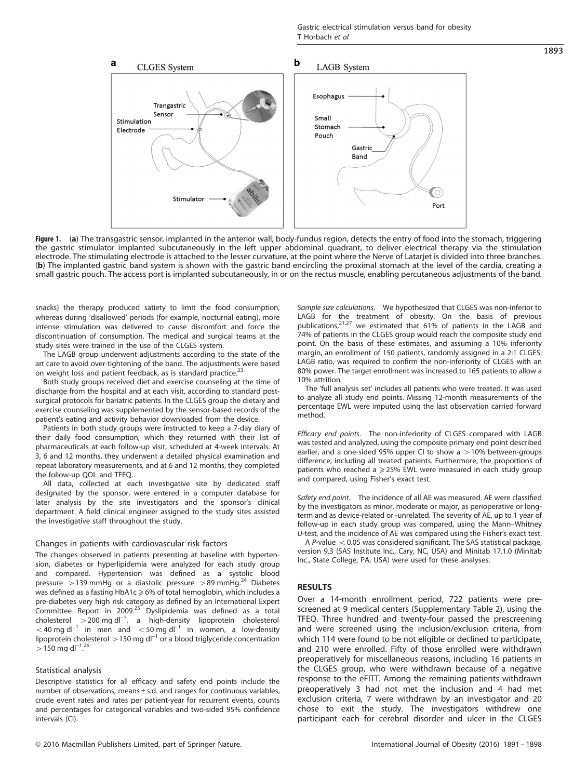<span id="page-2-0"></span>

**Figure 1.** (**a**) The transgastric sensor, implanted in the anterior wall, body-fundus region, detects the entry of food into the stomach, triggering<br>the gastric stimulator implanted subcutaneously in the left upper abdomi electrode. The stimulating electrode is attached to the lesser curvature, at the point where the Nerve of Latarjet is divided into three branches. (b) The implanted gastric band system is shown with the gastric band encircling the proximal stomach at the level of the cardia, creating a small gastric pouch. The access port is implanted subcutaneously, in or on the rectus muscle, enabling percutaneous adjustments of the band.

snacks) the therapy produced satiety to limit the food consumption, whereas during 'disallowed' periods (for example, nocturnal eating), more intense stimulation was delivered to cause discomfort and force the discontinuation of consumption. The medical and surgical teams at the study sites were trained in the use of the CLGES system.

The LAGB group underwent adjustments according to the state of the art care to avoid over-tightening of the band. The adjustments were based on weight loss and patient feedback, as is standard practice.<sup>23</sup>

Both study groups received diet and exercise counseling at the time of discharge from the hospital and at each visit, according to standard postsurgical protocols for bariatric patients. In the CLGES group the dietary and exercise counseling was supplemented by the sensor-based records of the patient's eating and activity behavior downloaded from the device.

Patients in both study groups were instructed to keep a 7-day diary of their daily food consumption, which they returned with their list of pharmaceuticals at each follow-up visit, scheduled at 4-week intervals. At 3, 6 and 12 months, they underwent a detailed physical examination and repeat laboratory measurements, and at 6 and 12 months, they completed the follow-up QOL and TFEQ.

All data, collected at each investigative site by dedicated staff designated by the sponsor, were entered in a computer database for later analysis by the site investigators and the sponsor's clinical department. A field clinical engineer assigned to the study sites assisted the investigative staff throughout the study.

#### Changes in patients with cardiovascular risk factors

The changes observed in patients presenting at baseline with hypertension, diabetes or hyperlipidemia were analyzed for each study group and compared. Hypertension was defined as a systolic blood pressure  $>$  139 mmHg or a diastolic pressure  $>$  89 mmHg.<sup>24</sup> Diabetes was defined as a fasting  $HbA1c \geq 6%$  of total hemoglobin, which includes a pre-diabetes very high risk category as defined by an International Expert Committee Report in 2009.<sup>25</sup> Dyslipidemia was defined as a total cholesterol  $>$  200 mg dl<sup>-1</sup>, a high-density lipoprotein cholesterol  $<$  40 mg dl<sup>-1</sup> in men and  $<$  50 mg dl<sup>-1</sup> in women, a low-density lipoprotein cholesterol  $>$  130 mg dl<sup>-1</sup> or a blood triglyceride concentration  $>$  150 mg dl<sup>-1</sup>.<sup>[26](#page-6-0)</sup> .

#### Statistical analysis

Descriptive statistics for all efficacy and safety end points include the number of observations, means ± s.d. and ranges for continuous variables, crude event rates and rates per patient-year for recurrent events, counts and percentages for categorical variables and two-sided 95% confidence intervals (CI).

Sample size calculations. We hypothesized that CLGES was non-inferior to LAGB for the treatment of obesity. On the basis of previous<br>publications,<sup>[21](#page-6-0)[,27](#page-7-0)</sup> we estimated that 61% of patients in the LAGB and 74% of patients in the CLGES group would reach the composite study end point. On the basis of these estimates, and assuming a 10% inferiority margin, an enrollment of 150 patients, randomly assigned in a 2:1 CLGES: LAGB ratio, was required to confirm the non-inferiority of CLGES with an 80% power. The target enrollment was increased to 165 patients to allow a 10% attrition.

The 'full analysis set' includes all patients who were treated. It was used to analyze all study end points. Missing 12-month measurements of the percentage EWL were imputed using the last observation carried forward method.

Efficacy end points. The non-inferiority of CLGES compared with LAGB was tested and analyzed, using the composite primary end point described earlier, and a one-sided 95% upper CI to show a  $>10%$  between-groups difference, including all treated patients. Furthermore, the proportions of patients who reached a  $\geq$  25% EWL were measured in each study group and compared, using Fisher's exact test.

Safety end point. The incidence of all AE was measured. AE were classified by the investigators as minor, moderate or major, as perioperative or longterm and as device-related or -unrelated. The severity of AE, up to 1 year of follow-up in each study group was compared, using the Mann–Whitney U-test, and the incidence of AE was compared using the Fisher's exact test.

A P-value  $<$  0.05 was considered significant. The SAS statistical package, version 9.3 (SAS Institute Inc., Cary, NC, USA) and Minitab 17.1.0 (Minitab Inc., State College, PA, USA) were used for these analyses.

## RESULTS

Over a 14-month enrollment period, 722 patients were prescreened at 9 medical centers (Supplementary Table 2), using the TFEQ. Three hundred and twenty-four passed the prescreening and were screened using the inclusion/exclusion criteria, from which 114 were found to be not eligible or declined to participate, and 210 were enrolled. Fifty of those enrolled were withdrawn preoperatively for miscellaneous reasons, including 16 patients in the CLGES group, who were withdrawn because of a negative response to the eFITT. Among the remaining patients withdrawn preoperatively 3 had not met the inclusion and 4 had met exclusion criteria, 7 were withdrawn by an investigator and 20 chose to exit the study. The investigators withdrew one participant each for cerebral disorder and ulcer in the CLGES

1893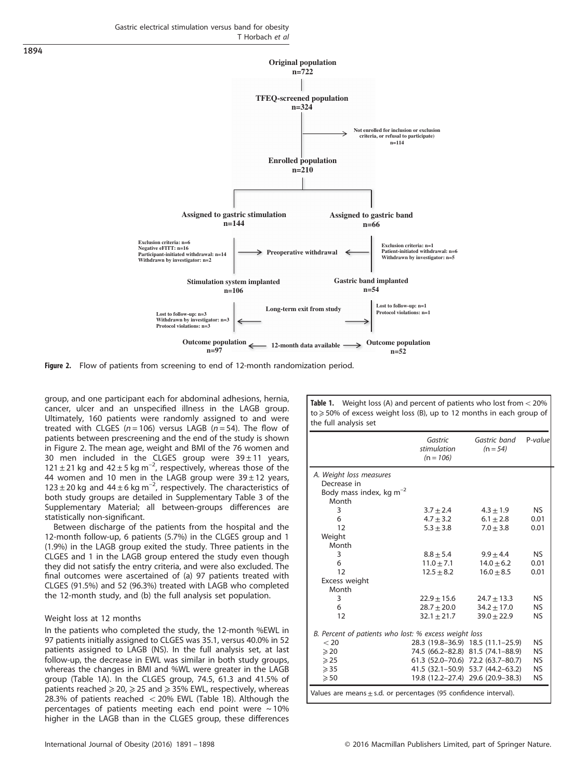Gastric electrical stimulation versus band for obesity T Horbach et al



Figure 2. Flow of patients from screening to end of 12-month randomization period.

group, and one participant each for abdominal adhesions, hernia, cancer, ulcer and an unspecified illness in the LAGB group. Ultimately, 160 patients were randomly assigned to and were treated with CLGES ( $n = 106$ ) versus LAGB ( $n = 54$ ). The flow of patients between prescreening and the end of the study is shown in Figure 2. The mean age, weight and BMI of the 76 women and 30 men included in the CLGES group were  $39 \pm 11$  years, 121 ± 21 kg and  $42 \pm 5$  kg m<sup>-2</sup>, respectively, whereas those of the 44 women and 10 men in the LAGB group were  $39 \pm 12$  years,  $123 \pm 20$  kg and  $44 \pm 6$  kg m<sup>-2</sup>, respectively. The characteristics of both study groups are detailed in Supplementary Table 3 of the Supplementary Material; all between-groups differences are statistically non-significant.

Between discharge of the patients from the hospital and the 12-month follow-up, 6 patients (5.7%) in the CLGES group and 1 (1.9%) in the LAGB group exited the study. Three patients in the CLGES and 1 in the LAGB group entered the study even though they did not satisfy the entry criteria, and were also excluded. The final outcomes were ascertained of (a) 97 patients treated with CLGES (91.5%) and 52 (96.3%) treated with LAGB who completed the 12-month study, and (b) the full analysis set population.

## Weight loss at 12 months

In the patients who completed the study, the 12-month %EWL in 97 patients initially assigned to CLGES was 35.1, versus 40.0% in 52 patients assigned to LAGB (NS). In the full analysis set, at last follow-up, the decrease in EWL was similar in both study groups, whereas the changes in BMI and %WL were greater in the LAGB group (Table 1A). In the CLGES group, 74.5, 61.3 and 41.5% of patients reached  $\geq$  20,  $\geq$  25 and  $\geq$  35% EWL, respectively, whereas 28.3% of patients reached  $<$  20% EWL (Table 1B). Although the percentages of patients meeting each end point were  $\sim$  10% higher in the LAGB than in the CLGES group, these differences

Table 1. Weight loss (A) and percent of patients who lost from  $<$  20% to ≥ 50% of excess weight loss (B), up to 12 months in each group of the full analysis set

|                                                                      | Gastric<br>stimulation<br>$(n = 106)$ | Gastric band<br>$(n = 54)$        | $P-value$ |  |  |
|----------------------------------------------------------------------|---------------------------------------|-----------------------------------|-----------|--|--|
| A. Weight loss measures                                              |                                       |                                   |           |  |  |
| Decrease in                                                          |                                       |                                   |           |  |  |
| Body mass index, kg $m^{-2}$                                         |                                       |                                   |           |  |  |
| Month                                                                |                                       |                                   |           |  |  |
| 3                                                                    | $3.7 + 2.4$                           | $4.3 \pm 1.9$                     | <b>NS</b> |  |  |
| 6                                                                    | $4.7 \pm 3.2$                         | $6.1 \pm 2.8$                     | 0.01      |  |  |
| 12                                                                   | $5.3 + 3.8$                           | $7.0 + 3.8$                       | 0.01      |  |  |
| Weight                                                               |                                       |                                   |           |  |  |
| Month                                                                |                                       |                                   |           |  |  |
| 3                                                                    | $8.8 \pm 5.4$                         | $9.9 \pm 4.4$                     | <b>NS</b> |  |  |
| 6                                                                    | $11.0 + 7.1$                          | $14.0 + 6.2$                      | 0.01      |  |  |
| 12                                                                   | $12.5 \pm 8.2$                        | $16.0 + 8.5$                      | 0.01      |  |  |
| Excess weight                                                        |                                       |                                   |           |  |  |
| Month                                                                |                                       |                                   |           |  |  |
| 3                                                                    | $22.9 + 15.6$                         | $24.7 + 13.3$                     | <b>NS</b> |  |  |
| 6                                                                    | $28.7 \pm 20.0$                       | $34.2 \pm 17.0$                   | <b>NS</b> |  |  |
| 12                                                                   | $32.1 \pm 21.7$                       | $39.0 + 22.9$                     | <b>NS</b> |  |  |
| B. Percent of patients who lost: % excess weight loss                |                                       |                                   |           |  |  |
| < 20                                                                 |                                       | 28.3 (19.8-36.9) 18.5 (11.1-25.9) | NS        |  |  |
| $\geqslant$ 20                                                       |                                       | 74.5 (66.2-82.8) 81.5 (74.1-88.9) | <b>NS</b> |  |  |
| $\geqslant$ 25                                                       |                                       | 61.3 (52.0-70.6) 72.2 (63.7-80.7) | <b>NS</b> |  |  |
| $\geqslant$ 35                                                       |                                       | 41.5 (32.1–50.9) 53.7 (44.2–63.2) | <b>NS</b> |  |  |
| $\geqslant 50$                                                       |                                       | 19.8 (12.2-27.4) 29.6 (20.9-38.3) | <b>NS</b> |  |  |
| Values are means $\pm$ s.d. or percentages (95 confidence interval). |                                       |                                   |           |  |  |

1894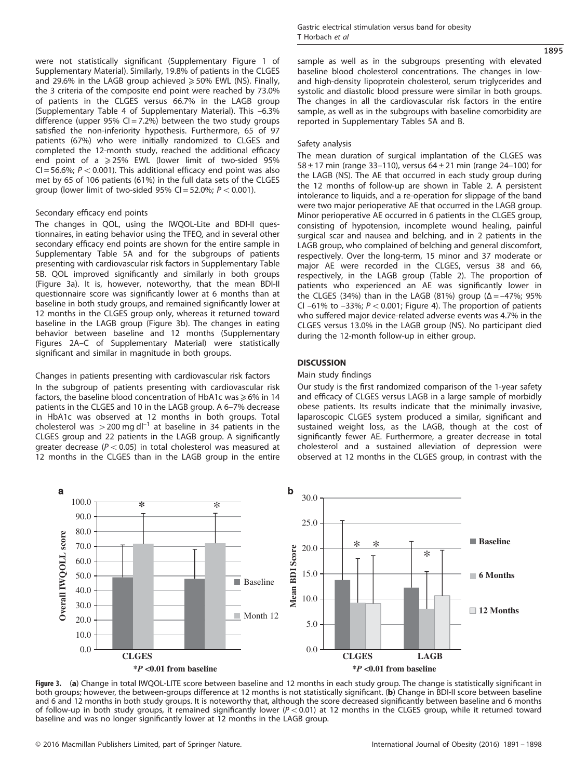were not statistically significant (Supplementary Figure 1 of Supplementary Material). Similarly, 19.8% of patients in the CLGES and 29.6% in the LAGB group achieved  $\geq$  50% EWL (NS). Finally, the 3 criteria of the composite end point were reached by 73.0% of patients in the CLGES versus 66.7% in the LAGB group (Supplementary Table 4 of Supplementary Material). This –6.3% difference (upper 95%  $Cl = 7.2%$ ) between the two study groups satisfied the non-inferiority hypothesis. Furthermore, 65 of 97 patients (67%) who were initially randomized to CLGES and completed the 12-month study, reached the additional efficacy end point of a  $\geq$  25% EWL (lower limit of two-sided 95% CI = 56.6%;  $P < 0.001$ ). This additional efficacy end point was also met by 65 of 106 patients (61%) in the full data sets of the CLGES group (lower limit of two-sided 95% CI = 52.0%;  $P < 0.001$ ).

## Secondary efficacy end points

The changes in QOL, using the IWQOL-Lite and BDI-II questionnaires, in eating behavior using the TFEQ, and in several other secondary efficacy end points are shown for the entire sample in Supplementary Table 5A and for the subgroups of patients presenting with cardiovascular risk factors in Supplementary Table 5B. QOL improved significantly and similarly in both groups (Figure 3a). It is, however, noteworthy, that the mean BDI-II questionnaire score was significantly lower at 6 months than at baseline in both study groups, and remained significantly lower at 12 months in the CLGES group only, whereas it returned toward baseline in the LAGB group (Figure 3b). The changes in eating behavior between baseline and 12 months (Supplementary Figures 2A–C of Supplementary Material) were statistically significant and similar in magnitude in both groups.

## Changes in patients presenting with cardiovascular risk factors

In the subgroup of patients presenting with cardiovascular risk factors, the baseline blood concentration of HbA1c was  $\geq 6\%$  in 14 patients in the CLGES and 10 in the LAGB group. A 6–7% decrease in HbA1c was observed at 12 months in both groups. Total cholesterol was  $>$  200 mg dl<sup>-1</sup> at baseline in 34 patients in the CLGES group and 22 patients in the LAGB group. A significantly greater decrease ( $P < 0.05$ ) in total cholesterol was measured at 12 months in the CLGES than in the LAGB group in the entire 1895

sample as well as in the subgroups presenting with elevated baseline blood cholesterol concentrations. The changes in lowand high-density lipoprotein cholesterol, serum triglycerides and systolic and diastolic blood pressure were similar in both groups. The changes in all the cardiovascular risk factors in the entire sample, as well as in the subgroups with baseline comorbidity are reported in Supplementary Tables 5A and B.

## Safety analysis

The mean duration of surgical implantation of the CLGES was 58  $\pm$  17 min (range 33-110), versus 64  $\pm$  21 min (range 24-100) for the LAGB (NS). The AE that occurred in each study group during the 12 months of follow-up are shown in [Table 2](#page-5-0). A persistent intolerance to liquids, and a re-operation for slippage of the band were two major perioperative AE that occurred in the LAGB group. Minor perioperative AE occurred in 6 patients in the CLGES group, consisting of hypotension, incomplete wound healing, painful surgical scar and nausea and belching, and in 2 patients in the LAGB group, who complained of belching and general discomfort, respectively. Over the long-term, 15 minor and 37 moderate or major AE were recorded in the CLGES, versus 38 and 66, respectively, in the LAGB group ([Table 2\)](#page-5-0). The proportion of patients who experienced an AE was significantly lower in the CLGES (34%) than in the LAGB (81%) group ( $Δ = -47$ %; 95% CI –61% to –33%;  $P < 0.001$ ; [Figure 4](#page-5-0)). The proportion of patients who suffered major device-related adverse events was 4.7% in the CLGES versus 13.0% in the LAGB group (NS). No participant died during the 12-month follow-up in either group.

## **DISCUSSION**

## Main study findings

Our study is the first randomized comparison of the 1-year safety and efficacy of CLGES versus LAGB in a large sample of morbidly obese patients. Its results indicate that the minimally invasive, laparoscopic CLGES system produced a similar, significant and sustained weight loss, as the LAGB, though at the cost of significantly fewer AE. Furthermore, a greater decrease in total cholesterol and a sustained alleviation of depression were observed at 12 months in the CLGES group, in contrast with the



Figure 3. (a) Change in total IWQOL-LITE score between baseline and 12 months in each study group. The change is statistically significant in both groups; however, the between-groups difference at 12 months is not statistically significant. (b) Change in BDI-II score between baseline and 6 and 12 months in both study groups. It is noteworthy that, although the score decreased significantly between baseline and 6 months of follow-up in both study groups, it remained significantly lower ( $P < 0.01$ ) at 12 months in the CLGES group, while it returned toward baseline and was no longer significantly lower at 12 months in the LAGB group.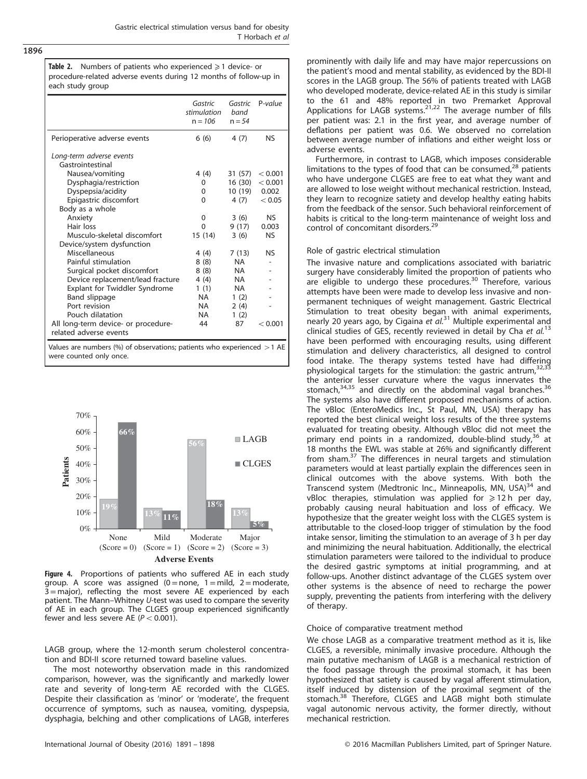<span id="page-5-0"></span>1896

**Table 2.** Numbers of patients who experienced  $\geq 1$  device- or procedure-related adverse events during 12 months of follow-up in each study group

|                                                                          | Gastric<br>stimulation<br>$n = 106$ | Gastric<br>band<br>$n = 54$ | $P-value$ |  |  |
|--------------------------------------------------------------------------|-------------------------------------|-----------------------------|-----------|--|--|
| Perioperative adverse events                                             | 6(6)                                | 4(7)                        | <b>NS</b> |  |  |
| Long-term adverse events                                                 |                                     |                             |           |  |  |
| Gastrointestinal                                                         |                                     |                             |           |  |  |
| Nausea/vomiting                                                          | 4 (4)                               | 31 (57)                     | < 0.001   |  |  |
| Dysphagia/restriction                                                    | 0                                   | 16 (30)                     | < 0.001   |  |  |
| Dyspepsia/acidity                                                        | 0                                   | 10 (19)                     | 0.002     |  |  |
| Epigastric discomfort                                                    | 0                                   | 4 (7)                       | < 0.05    |  |  |
| Body as a whole                                                          |                                     |                             |           |  |  |
| Anxiety                                                                  | 0                                   | 3(6)                        | NS.       |  |  |
| Hair loss                                                                | $\Omega$                            | 9(17)                       | 0.003     |  |  |
| Musculo-skeletal discomfort                                              | 15 (14)                             | 3(6)                        | <b>NS</b> |  |  |
| Device/system dysfunction                                                |                                     |                             |           |  |  |
| Miscellaneous                                                            | 4(4)                                | 7(13)                       | <b>NS</b> |  |  |
| Painful stimulation                                                      | 8(8)                                | NA.                         |           |  |  |
| Surgical pocket discomfort                                               | 8(8)                                | NA                          |           |  |  |
| Device replacement/lead fracture                                         | 4(4)                                | NA                          |           |  |  |
| Explant for Twiddler Syndrome                                            | 1(1)                                | NA                          |           |  |  |
| <b>Band slippage</b>                                                     | <b>NA</b>                           | 1(2)                        |           |  |  |
| Port revision                                                            | <b>NA</b>                           | 2(4)                        |           |  |  |
| Pouch dilatation                                                         | NA.                                 | 1(2)                        |           |  |  |
| All long-term device- or procedure-                                      | 44                                  | 87                          | < 0.001   |  |  |
| related adverse events                                                   |                                     |                             |           |  |  |
| Values are numbers (%) of observations; patients who experienced $>1$ AE |                                     |                             |           |  |  |
| were counted only once.                                                  |                                     |                             |           |  |  |

**13% 56% 13% 66% 11% 18% 5%** 0% 10% 20% 30% 40% 50% 60% 70% None  $(Score = 0)$   $(Score = 1)$   $(Score = 2)$   $(Score = 3)$ Mild Moderate Major **Patients Adverse Events** LAGB ■ CLGES

Figure 4. Proportions of patients who suffered AE in each study group. A score was assigned  $(0 = none, 1 = mild, 2 = moderate,$ 3= major), reflecting the most severe AE experienced by each patient. The Mann–Whitney U-test was used to compare the severity of AE in each group. The CLGES group experienced significantly fewer and less severe AE ( $P < 0.001$ ).

LAGB group, where the 12-month serum cholesterol concentration and BDI-II score returned toward baseline values.

The most noteworthy observation made in this randomized comparison, however, was the significantly and markedly lower rate and severity of long-term AE recorded with the CLGES. Despite their classification as 'minor' or 'moderate', the frequent occurrence of symptoms, such as nausea, vomiting, dyspepsia, dysphagia, belching and other complications of LAGB, interferes prominently with daily life and may have major repercussions on the patient's mood and mental stability, as evidenced by the BDI-II scores in the LAGB group. The 56% of patients treated with LAGB who developed moderate, device-related AE in this study is similar to the 61 and 48% reported in two Premarket Approval<br>Applications for LAGB systems.<sup>[21](#page-6-0),[22](#page-6-0)</sup> The average number of fills per patient was: 2.1 in the first year, and average number of deflations per patient was 0.6. We observed no correlation between average number of inflations and either weight loss or adverse events.

Furthermore, in contrast to LAGB, which imposes considerable limitations to the types of food that can be consumed, $28$  patients who have undergone CLGES are free to eat what they want and are allowed to lose weight without mechanical restriction. Instead, they learn to recognize satiety and develop healthy eating habits from the feedback of the sensor. Such behavioral reinforcement of habits is critical to the long-term maintenance of weight loss and control of concomitant disorders.<sup>[29](#page-7-0)</sup>

## Role of gastric electrical stimulation

The invasive nature and complications associated with bariatric surgery have considerably limited the proportion of patients who are eligible to undergo these procedures.<sup>[30](#page-7-0)</sup> Therefore, various attempts have been were made to develop less invasive and nonpermanent techniques of weight management. Gastric Electrical Stimulation to treat obesity began with animal experiments, nearly 20 years ago, by Cigaina et al.<sup>[31](#page-7-0)</sup> Multiple experimental and clinical studies of GES, recently reviewed in detail by Cha et  $al$ .<sup>[13](#page-6-0)</sup> have been performed with encouraging results, using different stimulation and delivery characteristics, all designed to control food intake. The therapy systems tested have had differing<br>physiological targets for the stimulation: the gastric antrum,<sup>[32](#page-7-0),[33](#page-7-0)</sup> the anterior lesser curvature where the vagus innervates the stomach,<sup>[34,35](#page-7-0)</sup> and directly on the abdominal vagal branches.<sup>[36](#page-7-0)</sup> The systems also have different proposed mechanisms of action. The vBloc (EnteroMedics Inc., St Paul, MN, USA) therapy has reported the best clinical weight loss results of the three systems evaluated for treating obesity. Although vBloc did not meet the primary end points in a randomized, double-blind study, $36$  at 18 months the EWL was stable at 26% and significantly different from sham.[37](#page-7-0) The differences in neural targets and stimulation parameters would at least partially explain the differences seen in clinical outcomes with the above systems. With both the Transcend system (Medtronic Inc., Minneapolis, MN, USA)<sup>34</sup> and vBloc therapies, stimulation was applied for  $\geq 12$  h per day, probably causing neural habituation and loss of efficacy. We hypothesize that the greater weight loss with the CLGES system is attributable to the closed-loop trigger of stimulation by the food intake sensor, limiting the stimulation to an average of 3 h per day and minimizing the neural habituation. Additionally, the electrical stimulation parameters were tailored to the individual to produce the desired gastric symptoms at initial programming, and at follow-ups. Another distinct advantage of the CLGES system over other systems is the absence of need to recharge the power supply, preventing the patients from interfering with the delivery of therapy.

#### Choice of comparative treatment method

We chose LAGB as a comparative treatment method as it is, like CLGES, a reversible, minimally invasive procedure. Although the main putative mechanism of LAGB is a mechanical restriction of the food passage through the proximal stomach, it has been hypothesized that satiety is caused by vagal afferent stimulation, itself induced by distension of the proximal segment of the stomach.<sup>[38](#page-7-0)</sup> Therefore, CLGES and LAGB might both stimulate vagal autonomic nervous activity, the former directly, without mechanical restriction.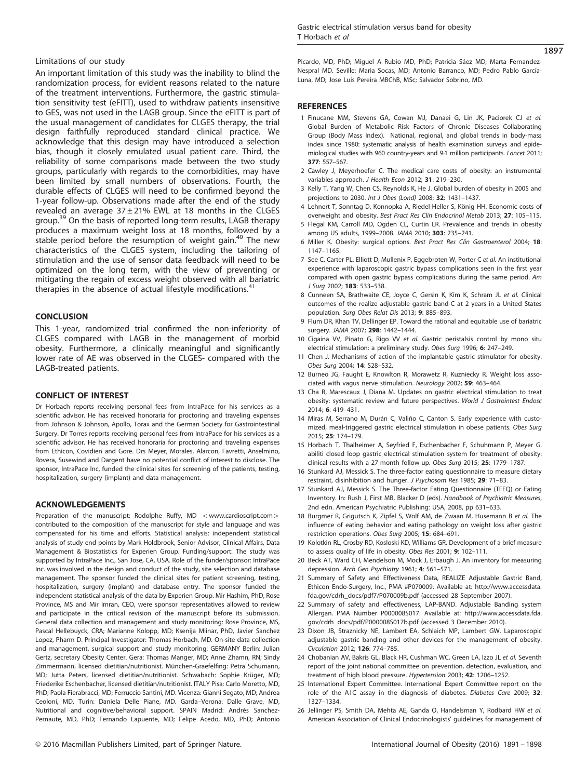## <span id="page-6-0"></span>Limitations of our study

An important limitation of this study was the inability to blind the randomization process, for evident reasons related to the nature of the treatment interventions. Furthermore, the gastric stimulation sensitivity test (eFITT), used to withdraw patients insensitive to GES, was not used in the LAGB group. Since the eFITT is part of the usual management of candidates for CLGES therapy, the trial design faithfully reproduced standard clinical practice. We acknowledge that this design may have introduced a selection bias, though it closely emulated usual patient care. Third, the reliability of some comparisons made between the two study groups, particularly with regards to the comorbidities, may have been limited by small numbers of observations. Fourth, the durable effects of CLGES will need to be confirmed beyond the 1-year follow-up. Observations made after the end of the study revealed an average  $37 \pm 21\%$  EWL at 18 months in the CLGES group.[39](#page-7-0) On the basis of reported long-term results, LAGB therapy produces a maximum weight loss at 18 months, followed by a stable period before the resumption of weight gain.<sup>[40](#page-7-0)</sup> The new characteristics of the CLGES system, including the tailoring of stimulation and the use of sensor data feedback will need to be optimized on the long term, with the view of preventing or mitigating the regain of excess weight observed with all bariatric therapies in the absence of actual lifestyle modifications.<sup>[41](#page-7-0)</sup>

## **CONCLUSION**

This 1-year, randomized trial confirmed the non-inferiority of CLGES compared with LAGB in the management of morbid obesity. Furthermore, a clinically meaningful and significantly lower rate of AE was observed in the CLGES- compared with the LAGB-treated patients.

#### CONFLICT OF INTEREST

Dr Horbach reports receiving personal fees from IntraPace for his services as a scientific advisor. He has received honoraria for proctoring and traveling expenses from Johnson & Johnson, Apollo, Torax and the German Society for Gastrointestinal Surgery. Dr Torres reports receiving personal fees from IntraPace for his services as a scientific advisor. He has received honoraria for proctoring and traveling expenses from Ethicon, Covidien and Gore. Drs Meyer, Morales, Alarcon, Favretti, Anselmino, Rovera, Susewind and Dargent have no potential conflict of interest to disclose. The sponsor, IntraPace Inc, funded the clinical sites for screening of the patients, testing, hospitalization, surgery (implant) and data management.

#### ACKNOWLEDGEMENTS

Preparation of the manuscript: Rodolphe Ruffy, MD < <www.cardioscript.com> > contributed to the composition of the manuscript for style and language and was compensated for his time and efforts. Statistical analysis: independent statistical analysis of study end points by Mark Holdbrook, Senior Advisor, Clinical Affairs, Data Management & Biostatistics for Experien Group. Funding/support: The study was supported by IntraPace Inc., San Jose, CA, USA. Role of the funder/sponsor: IntraPace Inc. was involved in the design and conduct of the study, site selection and database management. The sponsor funded the clinical sites for patient screening, testing, hospitalization, surgery (implant) and database entry. The sponsor funded the independent statistical analysis of the data by Experien Group. Mir Hashim, PhD, Rose Province, MS and Mir Imran, CEO, were sponsor representatives allowed to review and participate in the critical revision of the manuscript before its submission. General data collection and management and study monitoring: Rose Province, MS, Pascal Hellebuyck, CRA; Marianne Kolopp, MD; Ksenija Mlinar, PhD, Javier Sanchez Lopez, Pharm D. Principal Investigator: Thomas Horbach, MD. On-site data collection and management, surgical support and study monitoring: GERMANY Berlin: Julian Gertz, secretary Obesity Center. Gera: Thomas Manger, MD; Anne Zhamn, RN; Sindy Zimmermann, licensed dietitian/nutritionist. München-Graefelfing: Petra Schumann, MD; Jutta Peters, licensed dietitian/nutritionist. Schwabach: Sophie Krüger, MD; Friederike Eschenbacher, licensed dietitian/nutritionist. ITALY Pisa: Carlo Moretto, MD, PhD; Paola Fierabracci, MD; Ferruccio Santini, MD. Vicenza: Gianni Segato, MD; Andrea Ceoloni, MD. Turin: Daniela Delle Piane, MD. Garda–Verona: Dalle Grave, MD, Nutritional and cognitive/behavioral support. SPAIN Madrid: Andrés Sanchez-Pernaute, MD, PhD; Fernando Lapuente, MD; Felipe Acedo, MD, PhD; Antonio Picardo, MD, PhD; Miguel A Rubio MD, PhD; Patricia Sáez MD; Marta Fernandez-Nespral MD. Seville: Maria Socas, MD; Antonio Barranco, MD; Pedro Pablo García-Luna, MD; Jose Luis Pereira MBChB, MSc; Salvador Sobrino, MD.

## **REFERENCES**

- 1 Finucane MM, Stevens GA, Cowan MJ, Danaei G, Lin JK, Paciorek CJ et al. Global Burden of Metabolic Risk Factors of Chronic Diseases Collaborating Group (Body Mass Index). National, regional, and global trends in body-mass index since 1980: systematic analysis of health examination surveys and epidemiological studies with 960 country-years and 9·1 million participants. Lancet 2011; 377: 557–567.
- 2 Cawley J, Meyerhoefer C. The medical care costs of obesity: an instrumental variables approach. J Health Econ 2012; 31: 219–230.
- 3 Kelly T, Yang W, Chen CS, Reynolds K, He J. Global burden of obesity in 2005 and projections to 2030. Int J Obes (Lond) 2008; 32: 1431–1437.
- 4 Lehnert T, Sonntag D, Konnopka A, Riedel-Heller S, König HH. Economic costs of overweight and obesity. Best Pract Res Clin Endocrinol Metab 2013; 27: 105–115.
- 5 Flegal KM, Carroll MD, Ogden CL, Curtin LR. Prevalence and trends in obesity among US adults, 1999–2008. JAMA 2010; 303: 235–241.
- 6 Miller K. Obesity: surgical options. Best Pract Res Clin Gastroenterol 2004; 18: 1147–1165.
- 7 See C, Carter PL, Elliott D, Mullenix P, Eggebroten W, Porter C et al. An institutional experience with laparoscopic gastric bypass complications seen in the first year compared with open gastric bypass complications during the same period. Am J Surg 2002; 183: 533–538.
- 8 Cunneen SA, Brathwaite CE, Joyce C, Gersin K, Kim K, Schram JL et al. Clinical outcomes of the realize adjustable gastric band-C at 2 years in a United States population. Surg Obes Relat Dis 2013; 9: 885–893.
- 9 Flum DR, Khan TV, Dellinger EP. Toward the rational and equitable use of bariatric surgery. JAMA 2007; 298: 1442–1444.
- 10 Cigaina VV, Pinato G, Rigo VV et al. Gastric peristalsis control by mono situ electrical stimulation: a preliminary study. Obes Surg 1996; 6: 247–249.
- 11 Chen J. Mechanisms of action of the implantable gastric stimulator for obesity. Obes Surg 2004; 14: S28–S32.
- 12 Burneo JG, Faught E, Knowlton R, Morawetz R, Kuzniecky R. Weight loss associated with vagus nerve stimulation. Neurology 2002; 59: 463–464.
- 13 Cha R, Marescaux J, Diana M. Updates on gastric electrical stimulation to treat obesity: systematic review and future perspectives. World J Gastrointest Endosc 2014; 6: 419–431.
- 14 Miras M, Serrano M, Durán C, Valiño C, Canton S. Early experience with customized, meal-triggered gastric electrical stimulation in obese patients. Obes Surg 2015; 25: 174–179.
- 15 Horbach T, Thalheimer A, Seyfried F, Eschenbacher F, Schuhmann P, Meyer G. abiliti closed loop gastric electrical stimulation system for treatment of obesity: clinical results with a 27-month follow-up. Obes Surg 2015; 25: 1779–1787.
- 16 Stunkard AJ, Messick S. The three-factor eating questionnaire to measure dietary restraint, disinhibition and hunger. J Psychosom Res 1985; 29: 71–83.
- 17 Stunkard AJ, Messick S. The Three-factor Eating Questionnaire (TFEQ) or Eating Inventory. In: Rush J, First MB, Blacker D (eds). Handbook of Psychiatric Measures, 2nd edn. American Psychiatric Publishing: USA, 2008, pp 631–633.
- 18 Burgmer R, Grigutsch K, Zipfel S, Wolf AM, de Zwaan M, Husemann B et al. The influence of eating behavior and eating pathology on weight loss after gastric restriction operations. Obes Surg 2005; 15: 684–691.
- 19 Kolotkin RL, Crosby RD, Kosloski KD, Williams GR. Development of a brief measure to assess quality of life in obesity. Obes Res 2001; 9: 102–111.
- 20 Beck AT, Ward CH, Mendelson M, Mock J, Erbaugh J. An inventory for measuring depression. Arch Gen Psychiatry 1961; 4: 561–571.
- 21 Summary of Safety and Effectiveness Data, REALIZE Adjustable Gastric Band, Ethicon Endo-Surgery, Inc., PMA #P070009. Available at: http://www.accessdata. fda.gov/cdrh\_docs/pdf7/P070009b.pdf (accessed 28 September 2007).
- 22 Summary of safety and effectiveness, LAP-BAND. Adjustable Banding system Allergan. PMA Number P000008S017. Available at: http://www.accessdata.fda. gov/cdrh\_docs/pdf/P000008S017b.pdf (accessed 3 December 2010).
- 23 Dixon JB, Straznicky NE, Lambert EA, Schlaich MP, Lambert GW. Laparoscopic adjustable gastric banding and other devices for the management of obesity. Circulation 2012; 126: 774–785.
- 24 Chobanian AV, Bakris GL, Black HR, Cushman WC, Green LA, Izzo JL et al. Seventh report of the joint national committee on prevention, detection, evaluation, and treatment of high blood pressure. Hypertension 2003; 42: 1206–1252.
- 25 International Expert Committee. International Expert Committee report on the role of the A1C assay in the diagnosis of diabetes. Diabetes Care 2009; 32: 1327–1334.
- 26 Jellinger PS, Smith DA, Mehta AE, Ganda O, Handelsman Y, Rodbard HW et al. American Association of Clinical Endocrinologists' guidelines for management of